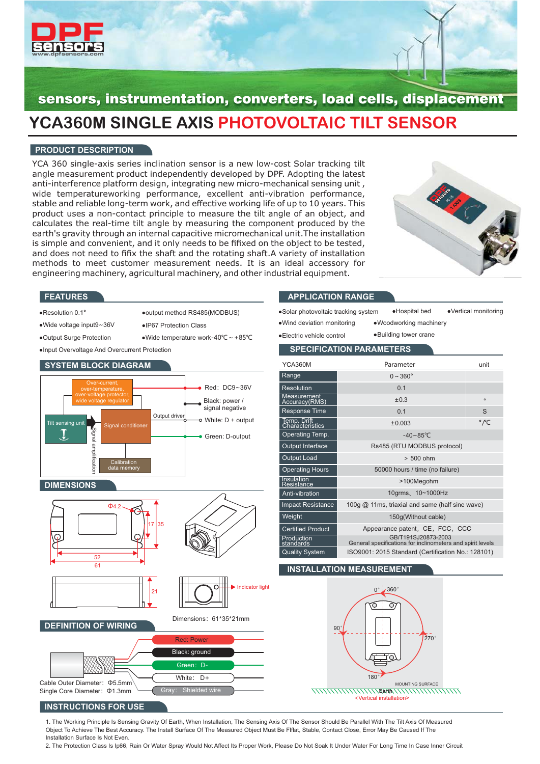

# sensors, instrumentation, converters, load cells, displacement **YCA360M SINGLE AXIS PHOTOVOLTAIC TILT SENSOR**

# **PRODUCT DESCRIPTION**

YCA 360 single-axis series inclination sensor is a new low-cost Solar tracking tilt angle measurement product independently developed by DPF. Adopting the latest anti-interference platform design, integrating new micro-mechanical sensing unit , wide temperatureworking performance, excellent anti-vibration performance, stable and reliable long-term work, and effective working life of up to 10 years. This product uses a non-contact principle to measure the tilt angle of an object, and calculates the real-time tilt angle by measuring the component produced by the earth's gravity through an internal capacitive micromechanical unit.The installation is simple and convenient, and it only needs to be fifixed on the object to be tested, and does not need to fifix the shaft and the rotating shaft.A variety of installation methods to meet customer measurement needs. It is an ideal accessory for engineering machinery, agricultural machinery, and other industrial equipment.

●Wide temperature work-40℃~+85℃



#### **FEATURES**

- ●Resolution 0.1°
- ●output method RS485(MODBUS)
- ●Wide voltage input9 36V ~ ●IP67 Protection Class
- ●Output Surge Protection

●Input Overvoltage And Overcurrent Protection



# **APPLICATION RANGE**

●Solar photovoltaic tracking system ●Wind deviation monitoring

●Vertical monitoring ●Woodworking machinery ●Hospital bed

●Electric vehicle control

 $\overline{\mathsf{v}}$ 

●Building tower crane

| <b>SPECIFICATION PARAMETERS</b>     |                                 |                           |  |  |  |  |
|-------------------------------------|---------------------------------|---------------------------|--|--|--|--|
| YCA360M                             | Parameter                       | unit                      |  |  |  |  |
| Range                               | $0 \sim 360^{\circ}$            |                           |  |  |  |  |
| <b>Resolution</b>                   | 0.1                             |                           |  |  |  |  |
| <b>Measurement</b><br>Accuracy(RMS) | $\pm 0.3$                       | $\circ$                   |  |  |  |  |
| Response Time                       | 0.1                             | S                         |  |  |  |  |
| Temp. Drift<br>Characteristics      | ±0.003                          | $^{\circ}$ / $^{\circ}$ C |  |  |  |  |
| Operating Temp.                     | $-40 \sim 85^{\circ}$ C         |                           |  |  |  |  |
| <b>Output Interface</b>             | Rs485 (RTU MODBUS protocol)     |                           |  |  |  |  |
| <b>Output Load</b>                  | $> 500$ ohm                     |                           |  |  |  |  |
| <b>Operating Hours</b>              | 50000 hours / time (no failure) |                           |  |  |  |  |
| Insulation<br><br>Resistance        | >100Megohm                      |                           |  |  |  |  |

| Resistance               | 2 <b>JUUREGORIA</b>                                                               |
|--------------------------|-----------------------------------------------------------------------------------|
| Anti-vibration           | 10qrms, 10~1000Hz                                                                 |
| <b>Impact Resistance</b> | 100g @ 11ms, triaxial and same (half sine wave)                                   |
| Weight                   | 150q(Without cable)                                                               |
| <b>Certified Product</b> | Appearance patent, CE, FCC, CCC                                                   |
| Production<br>standards  | GB/T191SJ20873-2003<br>General specifications for inclinometers and spirit levels |
| <b>Quality System</b>    | ISO9001: 2015 Standard (Certification No.: 128101)                                |

### **INSTALLATION MEASUREMENT**



### **INSTRUCTIONS FOR USE**

Cable Outer Diameter: Φ5.5mm Single Core Diameter: Φ1.3mm

1. The Working Principle Is Sensing Gravity Of Earth, When Installation, The Sensing Axis Of The Sensor Should Be Parallel With The Tilt Axis Of Measured Object To Achieve The Best Accuracy. The Install Surface Of The Measured Object Must Be Flflat, Stable, Contact Close, Error May Be Caused If The Installation Surface Is Not Even.

White:  $D +$ 

Gray: Shielded wire

2. The Protection Class Is Ip66, Rain Or Water Spray Would Not Affect Its Proper Work, Please Do Not Soak It Under Water For Long Time In Case Inner Circuit